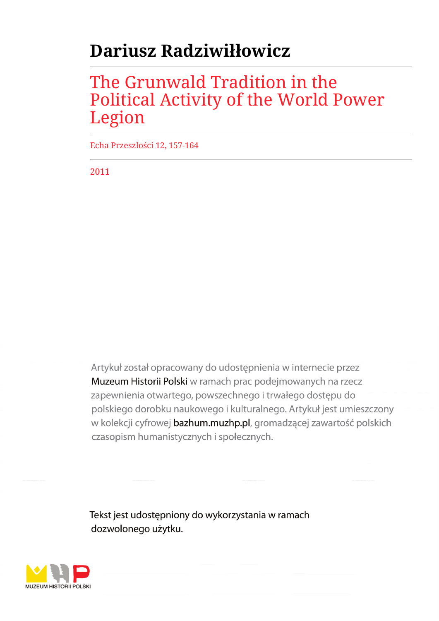# **Dariusz Radziwiłłowicz**

## The Grunwald Tradition in the Political Activity of the World Power Legion

Echa Przeszłości 12, 157-164

2011

Artykuł został opracowany do udostępnienia w internecie przez Muzeum Historii Polski w ramach prac podejmowanych na rzecz zapewnienia otwartego, powszechnego i trwałego dostępu do polskiego dorobku naukowego i kulturalnego. Artykuł jest umieszczony w kolekcji cyfrowej bazhum.muzhp.pl, gromadzącej zawartość polskich czasopism humanistycznych i społecznych.

Tekst jest udostępniony do wykorzystania w ramach dozwolonego użytku.

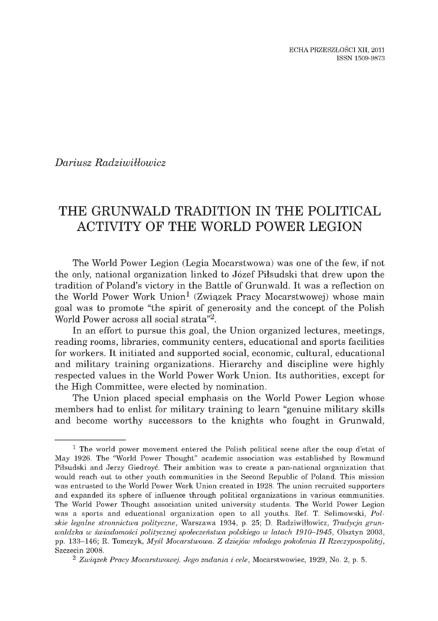ECHA PRZESZŁOŚCI XII, 2011 ISSN 1509-9873

*Dariusz Radziwillowicz*

## **THE GRUNWALD TRADITION IN THE POLITICAL ACTIVITY OF THE WORLD POWER LEGION**

The World Power Legion (Legia Mocarstwowa) was one of the few, if not the only, national organization linked to Józef Piłsudski that drew upon the tradition of Poland's victory in the Battle of Grunwald. It was a reflection on the World Power Work Union<sup>1</sup> (Związek Pracy Mocarstwowej) whose main **goal w as to prom ote "the spirit of generosity and the concept of the Polish World Power across all social strata"2.**

In an effort to pursue this goal, the Union organized lectures, meetings, reading rooms, libraries, community centers, educational and sports facilities for workers. It initiated and supported social, economic, cultural, educational and military training organizations. Hierarchy and discipline were highly respected values in the World Power Work Union. Its authorities, except for the High Committee, were elected by nomination.

The Union placed special emphasis on the World Power Legion whose members had to enlist for military training to learn "genuine military skills and become worthy successors to the knights who fought in Grunwald,

<sup>&</sup>lt;sup>1</sup> The world power movement entered the Polish political scene after the coup d'etat of May 1926. The "World Power Thought" academic association was established by Rowmund Piłsudski and Jerzy Giedroyć. Their ambition was to create a pan-national organization that would reach out to other youth communities in the Second Republic of Poland. This mission was entrusted to the World Power Work Union created in 1928. The union recruited supporters and expanded its sphere of influence through political organizations in various communities. The World Power Thought association united university students. The World Power Legion was a sports and educational organization open to all youths. Ref. T. Selimowski, Pol*skie legalne stronnictw a polityczne,* W arszaw a 1934, p. 25; D. Radziwiłłowicz, *Tradycja g ru n waldzka w świadomości politycznej społeczeństwa polskiego w latach 1910-1945, Olsztyn 2003,* pp. 133-146; R. Tomczyk, *M yśl M ocarstwowa. Z dziejów młodego pokolenia I I Rzeczypospolitej,* Szczecin 2008.

<sup>&</sup>lt;sup>2</sup> Związek Pracy Mocarstwowej. Jego zadania i cele, Mocarstwowiec, 1929, No. 2, p. 5.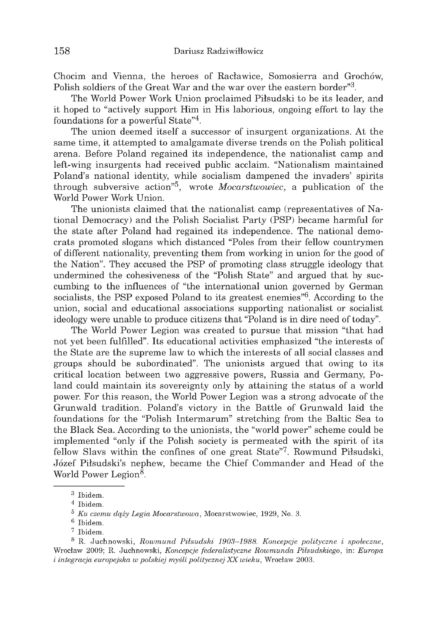Chocim and Vienna, the heroes of Racławice, Somosierra and Grochów. Polish soldiers of the Great War and the war over the eastern border<sup>3</sup>.

The World Power Work Union proclaimed Piłsudski to be its leader, and it hoped to "actively support Him in His laborious, ongoing effort to lay the foundations for a powerful State"<sup>4</sup>.

The union deemed itself a successor of insurgent organizations. At the same time, it attempted to amalgamate diverse trends on the Polish political arena. Before Poland regained its independence, the nationalist camp and left-wing insurgents had received public acclaim. "Nationalism maintained Poland's national identity, while socialism dampened the invaders' spirits through subversive action<sup>75</sup>, wrote *Mocarstwowiec*, a publication of the World Power Work Union.

The unionists claimed that the nationalist camp (representatives of National Democracy) and the Polish Socialist Party (PSP) became harmful for the state after Poland had regained its independence. The national democrats promoted slogans which distanced "Poles from their fellow countrymen" of different nationality, preventing them from working in union for the good of the Nation". They accused the PSP of promoting class struggle ideology that undermined the cohesiveness of the "Polish State" and argued that by succumbing to the influences of "the international union governed by German socialists, the PSP exposed Poland to its greatest enemies<sup>76</sup>. According to the union, social and educational associations supporting nationalist or socialist ideology were unable to produce citizens that "Poland is in dire need of today".

The World Power Legion was created to pursue that mission "that had not yet been fulfilled". Its educational activities emphasized "the interests of the State are the supreme law to which the interests of all social classes and groups should be subordinated". The unionists argued that owing to its critical location between two aggressive powers, Russia and Germany, Poland could maintain its sovereignty only by attaining the status of a world power. For this reason, the World Power Legion was a strong advocate of the Grunwald tradition. Poland's victory in the Battle of Grunwald laid the foundations for the "Polish Intermarum" stretching from the Baltic Sea to the Black Sea. According to the unionists, the "world power" scheme could be implemented "only if the Polish society is permeated with the spirit of its fellow Slavs within the confines of one great State"<sup>7</sup>. Rowmund Piłsudski, Józef Piłsudski's nephew, became the Chief Commander and Head of the World Power Legion<sup>8</sup>.

 $3$  Ibidem.

 $4$  Ibidem.

 $5$  Ku czemu dąży Legia Mocarstwowa, Mocarstwowiec, 1929, No. 3.

<sup>&</sup>lt;sup>6</sup> Ibidem.

<sup>7</sup> Ibidem.

<sup>&</sup>lt;sup>8</sup> R. Juchnowski, Rowmund Piłsudski 1903–1988. Koncepcje polityczne i społeczne, Wrocław 2009; R. Juchnowski, Koncepcje federalistyczne Rowmunda Piłsudskiego, in: Europa i integracja europejska w polskiej myśli politycznej XX wieku, Wrocław 2003.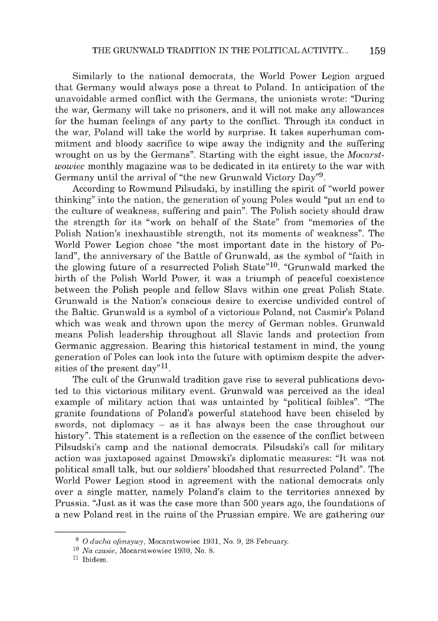Similarly to the national democrats, the World Power Legion argued that Germany would always pose a threat to Poland. In anticipation of the unavoidable armed conflict with the Germans, the unionists wrote: "During the war, Germany will take no prisoners, and it will not make any allowances for the human feelings of any party to the conflict. Through its conduct in the war, Poland will take the world by surprise. It takes superhuman commitment and bloody sacrifice to wipe away the indignity and the suffering wrought on us by the Germans". Starting with the eight issue, the *Mocarstwowiec* monthly magazine was to be dedicated in its entirety to the war with Germany until the arrival of "the new Grunwald Victory Day"9.

According to Rowmund Pilsudski, by instilling the spirit of "world power thinking" into the nation, the generation of young Poles would "put an end to the culture of weakness, suffering and pain". The Polish society should draw the strength for its "work on behalf of the State" from "memories of the Polish Nation's inexhaustible strength, not its moments of weakness". The World Power Legion chose "the most important date in the history of Poland", the anniversary of the Battle of Grunwald, as the symbol of "faith in the glowing future of a resurrected Polish State"10. "Grunwald marked the birth of the Polish World Power, it was a triumph of peaceful coexistence between the Polish people and fellow Slavs within one great Polish State. Grunwald is the Nation's conscious desire to exercise undivided control of the Baltic. Grunwald is a symbol of a victorious Poland, not Casmir's Poland which was weak and thrown upon the mercy of German nobles. Grunwald means Polish leadership throughout all Slavic lands and protection from Germanic aggression. Bearing this historical testament in mind, the young generation of Poles can look into the future with optimism despite the adversities of the present day"<sup>11</sup>.

The cult of the Grunwald tradition gave rise to several publications devoted to this victorious military event. Grunwald was perceived as the ideal example of military action that was untainted by "political foibles". "The granite foundations of Poland's powerful statehood have been chiseled by swords, not diplomacy - as it has always been the case throughout our history". This statement is a reflection on the essence of the conflict between Pilsudski's camp and the national democrats. Pilsudski's call for military action was juxtaposed against Dmowski's diplomatic measures: "It was not political small talk, but our soldiers' bloodshed that resurrected Poland". The World Power Legion stood in agreement with the national democrats only over a single matter, namely Poland's claim to the territories annexed by Prussia. "Just as it was the case more than 500 years ago, the foundations of a new Poland rest in the ruins of the Prussian empire. We are gathering our

<sup>&</sup>lt;sup>9</sup> O ducha ofensywy, Mocarstwowiec 1931, No. 9, 28 February.

<sup>&</sup>lt;sup>10</sup> Na czasie, Mocarstwowiec 1930, No. 8.

 $11$  Ibidem.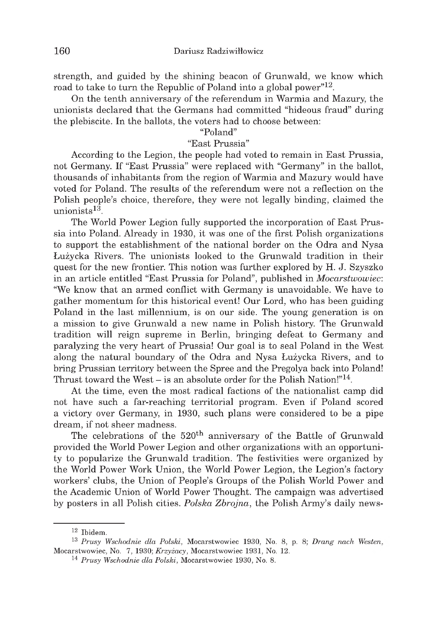strength, and guided by the shining beacon of Grunwald, we know which **road to take to turn the Republic of Poland into a global power"12.**

On the tenth anniversary of the referendum in Warmia and Mazury, the unionists declared that the Germans had committed "hideous fraud" during **the plebiscite. In the ballots, the voters had to choose between:**

#### **"Poland"**

### "East Prussia"

According to the Legion, the people had voted to remain in East Prussia, not Germany. If "East Prussia" were replaced with "Germany" in the ballot, thousands of inhabitants from the region of Warmia and Mazury would have voted for Poland. The results of the referendum were not a reflection on the Polish people's choice, therefore, they were not legally binding, claimed the unionists<sup>13</sup>.

The World Power Legion fully supported the incorporation of East Prussia into Poland. Already in 1930, it was one of the first Polish organizations to support the establishment of the national border on the Odra and Nysa **Łużycka Rivers. The unionists looked to the Grunwald tradition in their q u est for the new frontier. This notion w as further explored by H. J. Szyszko** in an article entitled "East Prussia for Poland", published in *Mocarstwowiec*: "We know that an armed conflict with Germany is unavoidable. We have to gather momentum for this historical event! Our Lord, who has been guiding Poland in the last millennium, is on our side. The young generation is on a mission to give Grunwald a new name in Polish history. The Grunwald tradition will reign supreme in Berlin, bringing defeat to Germany and paralyzing the very heart of Prussia! Our goal is to seal Poland in the West **along the natural boundary of the Odra and N ysa Łużycka Rivers, and to** bring Prussian territory between the Spree and the Pregolya back into Poland! Thrust toward the West – is an absolute order for the Polish Nation!"<sup>14</sup>.

At the time, even the most radical factions of the nationalist camp did not have such a far-reaching territorial program. Even if Poland scored a victory over Germany, in 1930, such plans were considered to be a pipe dream, if not sheer madness.

The celebrations of the 520<sup>th</sup> anniversary of the Battle of Grunwald provided the World Power Legion and other organizations with an opportunity to popularize the Grunwald tradition. The festivities were organized by the World Power Work Union, the World Power Legion, the Legion's factory workers' clubs, the Union of People's Groups of the Polish World Power and the Academic Union of World Power Thought. The campaign was advertised by posters in all Polish cities. Polska Zbrojna, the Polish Army's daily news-

 $12$  Ibidem.

<sup>&</sup>lt;sup>13</sup> Prusy Wschodnie dla Polski, Mocarstwowiec 1930, No. 8, p. 8; *Drang nach Westen*, Mocarstwowiec, No. 7, 1930; *Krzyżacy*, Mocarstwowiec 1931, No. 12.

<sup>&</sup>lt;sup>14</sup> Prusy Wschodnie dla Polski, Mocarstwowiec 1930, No. 8.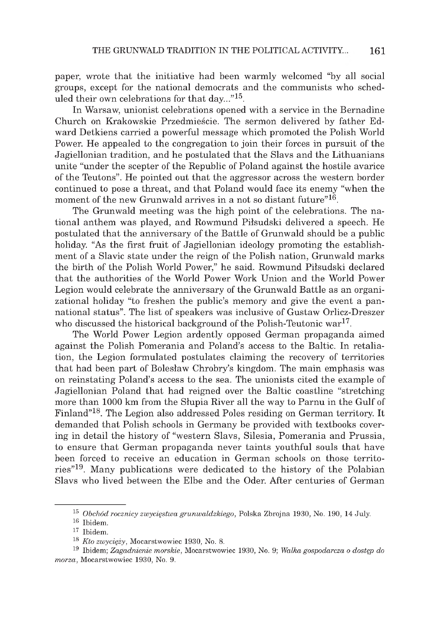paper, wrote that the initiative had been warmly welcomed "by all social groups, except for the national democrats and the communists who scheduled their own celebrations for that  $dav...$ <sup>"15</sup>.

In Warsaw, unionist celebrations opened with a service in the Bernadine Church on Krakowskie Przedmieście. The sermon delivered by father Edward Detkiens carried a powerful message which promoted the Polish World Power. He appealed to the congregation to join their forces in pursuit of the Jagiellonian tradition, and he postulated that the Slavs and the Lithuanians unite "under the scepter of the Republic of Poland against the hostile avarice of the Teutons". He pointed out that the aggressor across the western border continued to pose a threat, and that Poland would face its enemy "when the moment of the new Grunwald arrives in a not so distant future"<sup>16</sup>.

The Grunwald meeting was the high point of the celebrations. The national anthem was played, and Rowmund Piłsudski delivered a speech. He postulated that the anniversary of the Battle of Grunwald should be a public holiday. "As the first fruit of Jagiellonian ideology promoting the establishment of a Slavic state under the reign of the Polish nation, Grunwald marks the birth of the Polish World Power," he said. Rowmund Piłsudski declared that the authorities of the World Power Work Union and the World Power Legion would celebrate the anniversary of the Grunwald Battle as an organizational holiday "to freshen the public's memory and give the event a pannational status". The list of speakers was inclusive of Gustaw Orlicz-Dreszer who discussed the historical background of the Polish-Teutonic war<sup>17</sup>.

The World Power Legion ardently opposed German propaganda aimed against the Polish Pomerania and Poland's access to the Baltic. In retaliation, the Legion formulated postulates claiming the recovery of territories that had been part of Bolesław Chrobry's kingdom. The main emphasis was on reinstating Poland's access to the sea. The unionists cited the example of Jagiellonian Poland that had reigned over the Baltic coastline "stretching more than 1000 km from the Słupia River all the way to Parnu in the Gulf of Finland"18. The Legion also addressed Poles residing on German territory. It demanded that Polish schools in Germany be provided with textbooks covering in detail the history of "western Slavs, Silesia, Pomerania and Prussia, to ensure that German propaganda never taints youthful souls that have been forced to receive an education in German schools on those territories"19. Many publications were dedicated to the history of the Polabian Slavs who lived between the Elbe and the Oder. After centuries of German

<sup>&</sup>lt;sup>15</sup> Obchód rocznicy zwycięstwa grunwaldzkiego, Polska Zbrojna 1930, No. 190, 14 July.

 $16$  Ibidem.

 $17$  Ibidem.

<sup>&</sup>lt;sup>18</sup> *Kto zwycięży*, Mocarstwowiec 1930, No. 8.

<sup>19</sup> Ibidem ; *Zagadnienie m orskie,* Mocarstwowiec 1930, No. 9; *W alka gospodarcza o dostęp do*  $morza$ , Mocarstwowiec 1930, No. 9.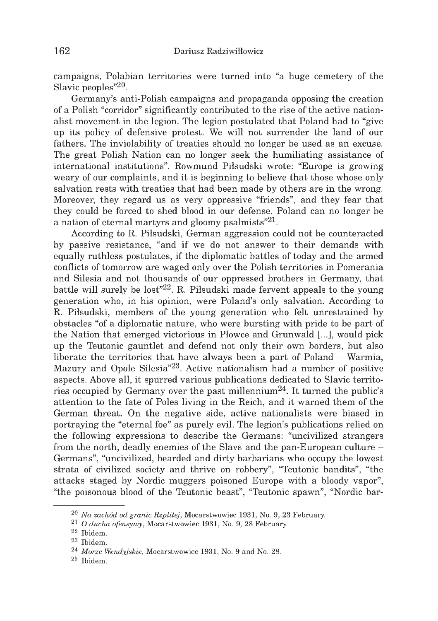campaigns, Polabian territories were turned into "a huge cemetery of the **Slavic peoples"20.**

Germany's anti-Polish campaigns and propaganda opposing the creation of a Polish "corridor" significantly contributed to the rise of the active nationa list movement in the legion. The legion postulated that Poland had to "give" up its policy of defensive protest. We will not surrender the land of our **fathers. The inviolability of treaties should no longer be used as an excuse.** The great Polish Nation can no longer seek the humiliating assistance of international institutions". Rowmund Piłsudski wrote: "Europe is growing weary of our complaints, and it is beginning to believe that those whose only salvation rests with treaties that had been made by others are in the wrong. Moreover, they regard us as very oppressive "friends", and they fear that **they could be forced to shed blood in our defense. Poland can no longer be** a nation of eternal martyrs and gloomy psalmists<sup>"21</sup>.

According to R. Piłsudski, German aggression could not be counteracted by passive resistance, "and if we do not answer to their demands with **equally ru th less postulates, if the diplom atic b attles of today and the armed** conflicts of tomorrow are waged only over the Polish territories in Pomerania and Silesia and not thousands of our oppressed brothers in Germany, that battle will surely be lost<sup>"22</sup>. R. Piłsudski made fervent appeals to the young generation who, in his opinion, were Poland's only salvation. According to **R. Piłsudski, members of the young generation who felt unrestrained by obstacles "of a diplom atic nature, who w ere bursting w ith pride to be part of** the Nation that emerged victorious in Płowce and Grunwald [...], would pick up the Teutonic gauntlet and defend not only their own borders, but also liberate the territories that have always been a part of Poland – Warmia, Mazury and Opole Silesia<sup>"23</sup>. Active nationalism had a number of positive **aspects. Above all, it spurred various publications dedicated to Slavic territo**ries occupied by Germany over the past millennium<sup>24</sup>. It turned the public's attention to the fate of Poles living in the Reich, and it warned them of the German threat. On the negative side, active nationalists were biased in **portraying the "eternal foe" as purely evil. The legion's publications relied on the follow ing expressions to describe the Germ ans: "uncivilized strangers** from the north, deadly enemies of the Slavs and the pan-European culture – Germans", "uncivilized, bearded and dirty barbarians who occupy the lowest strata of civilized society and thrive on robbery", "Teutonic bandits", "the attacks staged by Nordic muggers poisoned Europe with a bloody vapor", "the poisonous blood of the Teutonic beast", "Teutonic spawn", "Nordic bar-

<sup>&</sup>lt;sup>20</sup> Na zachód od granic Rzplitej, Mocarstwowiec 1931, No. 9, 23 February.

<sup>&</sup>lt;sup>21</sup> *O ducha ofensywy*, Mocarstwowiec 1931, No. 9, 28 February.

<sup>22</sup> Ibidem .

<sup>23</sup> Ibidem .

<sup>&</sup>lt;sup>24</sup> Morze Wendyjskie, Mocarstwowiec 1931, No. 9 and No. 28.

<sup>25</sup> Ibidem .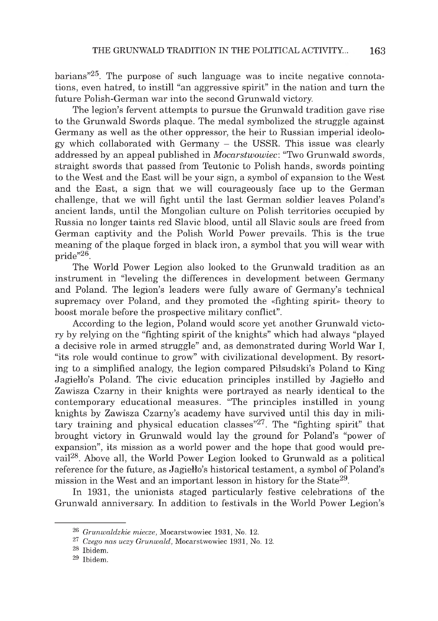barians<sup> $225$ </sup>. The purpose of such language was to incite negative connotations, even hatred, to instill "an aggressive spirit" in the nation and turn the future Polish-German war into the second Grunwald victory.

The legion's fervent attempts to pursue the Grunwald tradition gave rise to the Grunwald Swords plaque. The medal symbolized the struggle against Germany as well as the other oppressor, the heir to Russian imperial ideology which collaborated with Germany – the USSR. This issue was clearly addressed by an appeal published in *Mocarstwowiec*: "Two Grunwald swords. straight swords that passed from Teutonic to Polish hands, swords pointing to the West and the East will be your sign, a symbol of expansion to the West and the East, a sign that we will courage ously face up to the German challenge, that we will fight until the last German soldier leaves Poland's ancient lands, until the Mongolian culture on Polish territories occupied by Russia no longer taints red Slavic blood, until all Slavic souls are freed from German captivity and the Polish World Power prevails. This is the true meaning of the plaque forged in black iron, a symbol that you will wear with  $pride''^{26}$ .

The World Power Legion also looked to the Grunwald tradition as an instrument in "leveling the differences in development between Germany and Poland. The legion's leaders were fully aware of Germany's technical supremacy over Poland, and they promoted the «fighting spirit» theory to boost morale before the prospective military conflict".

According to the legion, Poland would score yet another Grunwald victory by relying on the "fighting spirit of the knights" which had always "played" a decisive role in armed struggle" and, as demonstrated during World War I, "its role would continue to grow" with civilizational development. By resorting to a simplified analogy, the legion compared Piłsudski's Poland to King Jagiełło's Poland. The civic education principles instilled by Jagiełło and Zawisza Czarny in their knights were portrayed as nearly identical to the contemporary educational measures. "The principles instilled in young knights by Zawisza Czarny's academy have survived until this day in military training and physical education classes"<sup>27</sup>. The "fighting spirit" that brought victory in Grunwald would lay the ground for Poland's "power of expansion", its mission as a world power and the hope that good would prevail<sup>28</sup>. Above all, the World Power Legion looked to Grunwald as a political reference for the future, as Jagiello's historical testament, a symbol of Poland's mission in the West and an important lesson in history for the State<sup>29</sup>.

In 1931, the unionists staged particularly festive celebrations of the Grunwald anniversary. In addition to festivals in the World Power Legion's

<sup>&</sup>lt;sup>26</sup> Grunwaldzkie miecze, Mocarstwowiec 1931, No. 12.

<sup>&</sup>lt;sup>27</sup> Czego nas uczy Grunwald, Mocarstwowiec 1931, No. 12.

<sup>&</sup>lt;sup>28</sup> Ibidem.

<sup>&</sup>lt;sup>29</sup> Ibidem.